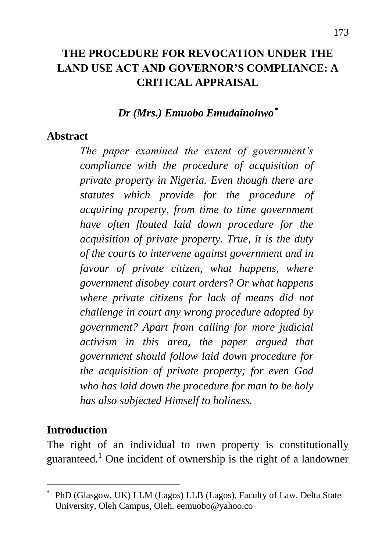# **THE PROCEDURE FOR REVOCATION UNDER THE LAND USE ACT AND GOVERNOR'S COMPLIANCE: A CRITICAL APPRAISAL**

#### *Dr (Mrs.) Emuobo Emudainohwo*

#### **Abstract**

*The paper examined the extent of government's compliance with the procedure of acquisition of private property in Nigeria. Even though there are statutes which provide for the procedure of acquiring property, from time to time government have often flouted laid down procedure for the acquisition of private property. True, it is the duty of the courts to intervene against government and in favour of private citizen, what happens, where government disobey court orders? Or what happens where private citizens for lack of means did not challenge in court any wrong procedure adopted by government? Apart from calling for more judicial activism in this area, the paper argued that government should follow laid down procedure for the acquisition of private property; for even God who has laid down the procedure for man to be holy has also subjected Himself to holiness.*

#### **Introduction**

 $\overline{a}$ 

The right of an individual to own property is constitutionally guaranteed.<sup>1</sup> One incident of ownership is the right of a landowner

PhD (Glasgow, UK) LLM (Lagos) LLB (Lagos), Faculty of Law, Delta State University, Oleh Campus, Oleh. [eemuobo@yahoo.co](mailto:eemuobo@yahoo.co)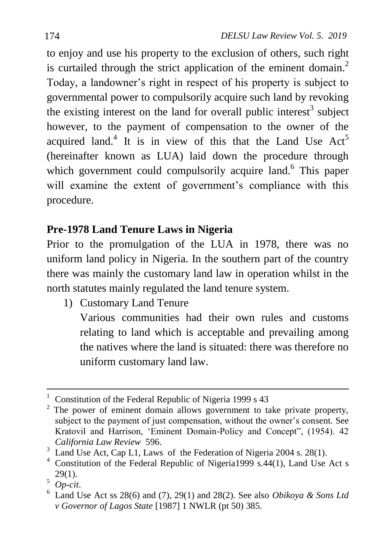to enjoy and use his property to the exclusion of others, such right is curtailed through the strict application of the eminent domain.<sup>2</sup> Today, a landowner"s right in respect of his property is subject to governmental power to compulsorily acquire such land by revoking the existing interest on the land for overall public interest<sup>3</sup> subject however, to the payment of compensation to the owner of the acquired land.<sup>4</sup> It is in view of this that the Land Use  $Act<sup>5</sup>$ (hereinafter known as LUA) laid down the procedure through which government could compulsorily acquire land.<sup>6</sup> This paper will examine the extent of government's compliance with this procedure.

# **Pre-1978 Land Tenure Laws in Nigeria**

Prior to the promulgation of the LUA in 1978, there was no uniform land policy in Nigeria. In the southern part of the country there was mainly the customary land law in operation whilst in the north statutes mainly regulated the land tenure system.

- 1) Customary Land Tenure
	- Various communities had their own rules and customs relating to land which is acceptable and prevailing among the natives where the land is situated: there was therefore no uniform customary land law.

 $\ddot{\phantom{a}}$ <sup>1</sup> Constitution of the Federal Republic of Nigeria 1999 s 43

 $2$  The power of eminent domain allows government to take private property, subject to the payment of just compensation, without the owner's consent. See Kratovil and Harrison, "Eminent Domain-Policy and Concept", (1954). 42 *California Law Review* 596.

<sup>&</sup>lt;sup>3</sup> Land Use Act, Cap L1, Laws of the Federation of Nigeria 2004 s. 28(1).

<sup>&</sup>lt;sup>4</sup> Constitution of the Federal Republic of Nigeria1999 s.44(1), Land Use Act s  $29(1)$ .

<sup>5</sup> *Op-cit*.

 $6$  Land Use Act ss 28(6) and (7), 29(1) and 28(2). See also *Obikoya & Sons Ltd v Governor of Lagos State* [1987] 1 NWLR (pt 50) 385.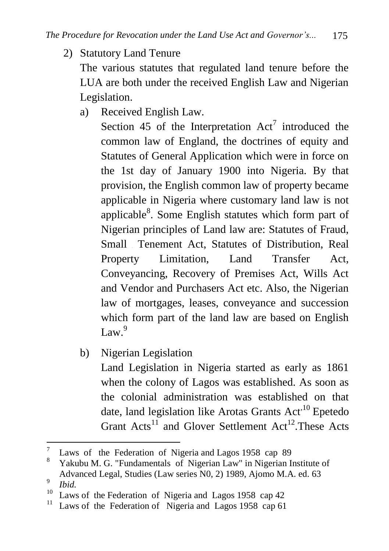2) Statutory Land Tenure

The various statutes that regulated land tenure before the LUA are both under the received English Law and Nigerian Legislation.

a) Received English Law.

Section 45 of the Interpretation  $Act^7$  introduced the common law of England, the doctrines of equity and Statutes of General Application which were in force on the 1st day of January 1900 into Nigeria. By that provision, the English common law of property became applicable in Nigeria where customary land law is not applicable<sup>8</sup>. Some English statutes which form part of Nigerian principles of Land law are: Statutes of Fraud, Small Tenement Act, Statutes of Distribution, Real Property Limitation, Land Transfer Act, Conveyancing, Recovery of Premises Act, Wills Act and Vendor and Purchasers Act etc. Also, the Nigerian law of mortgages, leases, conveyance and succession which form part of the land law are based on English Law $^{9}$ 

b) Nigerian Legislation

Land Legislation in Nigeria started as early as 1861 when the colony of Lagos was established. As soon as the colonial administration was established on that date, land legislation like Arotas Grants  $Act<sup>10</sup>$  Epetedo Grant  $Acts^{11}$  and Glover Settlement  $Act^{12}$ . These Acts

 $\overline{7}$ <sup>7</sup> Laws of the Federation of Nigeria and Lagos 1958 cap 89<br><sup>8</sup> Yelmhu M.G. "Fundamentals of Nigerian Lam" in Nigerian I.

<sup>8</sup> Yakubu M. G. "Fundamentals of Nigerian Law" in Nigerian Institute of Advanced Legal, Studies (Law series N0, 2) 1989, Ajomo M.A. ed. 63 9

*Ibid.*

<sup>&</sup>lt;sup>10</sup> Laws of the Federation of Nigeria and Lagos 1958 cap 42<sup>11</sup> Lagos of the Federation of Nigeria and Lagos 1958 cap 61<sup>1</sup>

Laws of the Federation of Nigeria and Lagos 1958 cap 61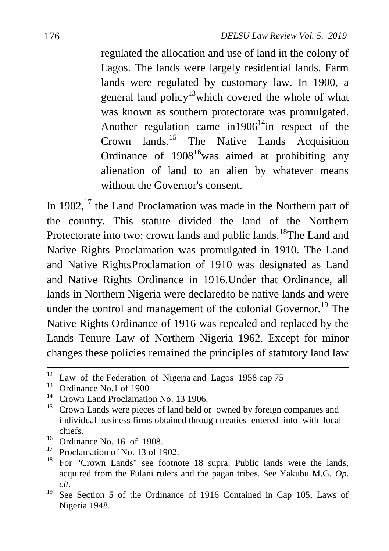regulated the allocation and use of land in the colony of Lagos. The lands were largely residential lands. Farm lands were regulated by customary law. In 1900, a general land policy<sup>13</sup> which covered the whole of what was known as southern protectorate was promulgated. Another regulation came in  $1906<sup>14</sup>$  in respect of the Crown lands.<sup>15</sup> The Native Lands Acquisition Ordinance of  $1908^{16}$  was aimed at prohibiting any alienation of land to an alien by whatever means without the Governor's consent.

In 1902,<sup>17</sup> the Land Proclamation was made in the Northern part of the country. This statute divided the land of the Northern Protectorate into two: crown lands and public lands.<sup>18</sup>The Land and Native Rights Proclamation was promulgated in 1910. The Land and Native RightsProclamation of 1910 was designated as Land and Native Rights Ordinance in 1916.Under that Ordinance, all lands in Northern Nigeria were declaredto be native lands and were under the control and management of the colonial Governor.<sup>19</sup> The Native Rights Ordinance of 1916 was repealed and replaced by the Lands Tenure Law of Northern Nigeria 1962. Except for minor changes these policies remained the principles of statutory land law

 $12$ <sup>12</sup> Law of the Federation of Nigeria and Lagos 1958 cap 75<sup>13</sup> Ordinance Na 1 of 1000

Ordinance No.1 of 1900

<sup>&</sup>lt;sup>14</sup> Crown Land Proclamation No. 13 1906.

<sup>15</sup> Crown Lands were pieces of land held or owned by foreign companies and individual business firms obtained through treaties entered into with local chiefs.

<sup>&</sup>lt;sup>16</sup> Ordinance No. 16 of 1908.

<sup>&</sup>lt;sup>17</sup> Proclamation of No. 13 of 1902.

<sup>18</sup> For "Crown Lands" see footnote 18 supra. Public lands were the lands, acquired from the Fulani rulers and the pagan tribes. See Yakubu M.G. *Op. cit.*

<sup>&</sup>lt;sup>19</sup> See Section 5 of the Ordinance of 1916 Contained in Cap 105, Laws of Nigeria 1948.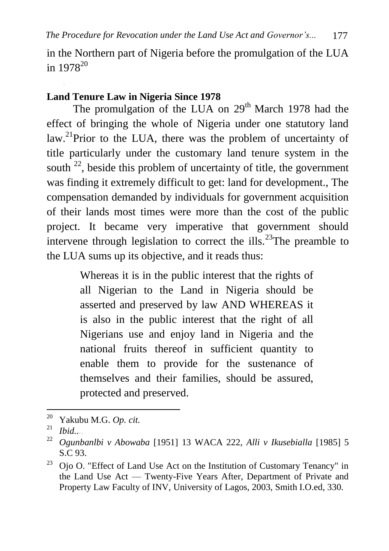in the Northern part of Nigeria before the promulgation of the LUA in  $1978^{20}$ 

# **Land Tenure Law in Nigeria Since 1978**

The promulgation of the LUA on 29<sup>th</sup> March 1978 had the effect of bringing the whole of Nigeria under one statutory land law.<sup>21</sup>Prior to the LUA, there was the problem of uncertainty of title particularly under the customary land tenure system in the south  $^{22}$ , beside this problem of uncertainty of title, the government was finding it extremely difficult to get: land for development., The compensation demanded by individuals for government acquisition of their lands most times were more than the cost of the public project. It became very imperative that government should intervene through legislation to correct the ills.<sup>23</sup>The preamble to the LUA sums up its objective, and it reads thus:

> Whereas it is in the public interest that the rights of all Nigerian to the Land in Nigeria should be asserted and preserved by law AND WHEREAS it is also in the public interest that the right of all Nigerians use and enjoy land in Nigeria and the national fruits thereof in sufficient quantity to enable them to provide for the sustenance of themselves and their families, should be assured, protected and preserved.

<sup>20</sup> <sup>20</sup> Yakubu M.G. *Op. cit.*

*Ibid...* 

<sup>22</sup> *Ogunbanlbi v Abowaba* [1951] 13 WACA 222, *Alli v Ikusebialla* [1985] 5 S.C 93.

<sup>&</sup>lt;sup>23</sup> Oio O. "Effect of Land Use Act on the Institution of Customary Tenancy" in the Land Use Act — Twenty-Five Years After, Department of Private and Property Law Faculty of INV, University of Lagos, 2003, Smith I.O.ed, 330.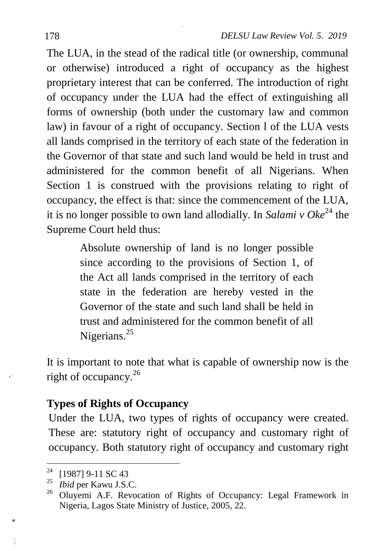The LUA, in the stead of the radical title (or ownership, communal or otherwise) introduced a right of occupancy as the highest proprietary interest that can be conferred. The introduction of right of occupancy under the LUA had the effect of extinguishing all forms of ownership (both under the customary law and common law) in favour of a right of occupancy. Section l of the LUA vests all lands comprised in the territory of each state of the federation in the Governor of that state and such land would be held in trust and administered for the common benefit of all Nigerians. When Section 1 is construed with the provisions relating to right of occupancy, the effect is that: since the commencement of the LUA, it is no longer possible to own land allodially. In *Salami v Oke*<sup>24</sup> the Supreme Court held thus:

> Absolute ownership of land is no longer possible since according to the provisions of Section 1, of the Act all lands comprised in the territory of each state in the federation are hereby vested in the Governor of the state and such land shall be held in trust and administered for the common benefit of all Nigerians.<sup>25</sup>

It is important to note that what is capable of ownership now is the right of occupancy.<sup>26</sup>

# **Types of Rights of Occupancy**

Under the LUA, two types of rights of occupancy were created. These are: statutory right of occupancy and customary right of occupancy. Both statutory right of occupancy and customary right

1

ш

<sup>&</sup>lt;sup>24</sup> [1987] 9-11 SC 43

<sup>25</sup> *Ibid* per Kawu J.S.C.

<sup>&</sup>lt;sup>26</sup> Oluyemi A.F. Revocation of Rights of Occupancy: Legal Framework in Nigeria, Lagos State Ministry of Justice, 2005, 22.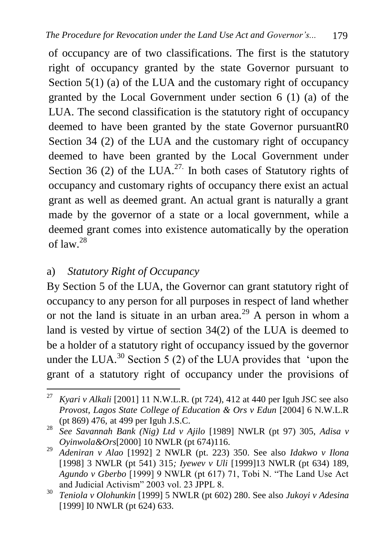of occupancy are of two classifications. The first is the statutory right of occupancy granted by the state Governor pursuant to Section 5(1) (a) of the LUA and the customary right of occupancy granted by the Local Government under section 6 (1) (a) of the LUA. The second classification is the statutory right of occupancy deemed to have been granted by the state Governor pursuantR0 Section 34 (2) of the LUA and the customary right of occupancy deemed to have been granted by the Local Government under Section 36 (2) of the LUA.<sup>27.</sup> In both cases of Statutory rights of occupancy and customary rights of occupancy there exist an actual grant as well as deemed grant. An actual grant is naturally a grant made by the governor of a state or a local government, while a deemed grant comes into existence automatically by the operation of law.<sup>28</sup>

## a) *Statutory Right of Occupancy*

By Section 5 of the LUA, the Governor can grant statutory right of occupancy to any person for all purposes in respect of land whether or not the land is situate in an urban area.<sup>29</sup> A person in whom a land is vested by virtue of section 34(2) of the LUA is deemed to be a holder of a statutory right of occupancy issued by the governor under the LUA.<sup>30</sup> Section 5 (2) of the LUA provides that 'upon the grant of a statutory right of occupancy under the provisions of

<sup>27</sup> <sup>27</sup> *Kyari v Alkali* [2001] 11 N.W.L.R. (pt 724), 412 at 440 per Iguh JSC see also *Provost, Lagos State College of Education & Ors v Edun* [2004] 6 N.W.L.R (pt 869) 476, at 499 per Iguh J.S.C.

<sup>28</sup> *See Savannah Bank (Nig) Ltd v Ajilo* [1989] NWLR (pt 97) 305, *Adisa v Oyinwola&Ors*[2000] 10 NWLR (pt 674)116.

<sup>29</sup> *Adeniran v Alao* [1992] 2 NWLR (pt. 223) 350. See also *Idakwo v Ilona* [1998] 3 NWLR (pt 541) 315*; Iyewev v Uli* [1999]13 NWLR (pt 634) 189, *Agundo v Gberbo* [1999] 9 NWLR (pt 617) 71, Tobi N. "The Land Use Act and Judicial Activism" 2003 vol. 23 JPPL 8.

<sup>30</sup> *Teniola v Olohunkin* [1999] 5 NWLR (pt 602) 280. See also *Jukoyi v Adesina* [1999] I0 NWLR (pt 624) 633.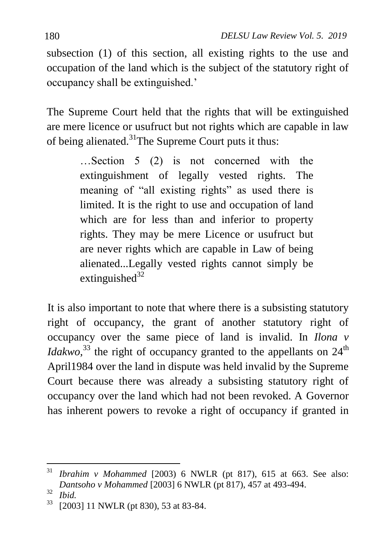subsection (1) of this section, all existing rights to the use and occupation of the land which is the subject of the statutory right of occupancy shall be extinguished."

The Supreme Court held that the rights that will be extinguished are mere licence or usufruct but not rights which are capable in law of being alienated.<sup>31</sup>The Supreme Court puts it thus:

> …Section 5 (2) is not concerned with the extinguishment of legally vested rights. The meaning of "all existing rights" as used there is limited. It is the right to use and occupation of land which are for less than and inferior to property rights. They may be mere Licence or usufruct but are never rights which are capable in Law of being alienated...Legally vested rights cannot simply be extinguished $32$

It is also important to note that where there is a subsisting statutory right of occupancy, the grant of another statutory right of occupancy over the same piece of land is invalid. In *Ilona v Idakwo*,<sup>33</sup> the right of occupancy granted to the appellants on  $24<sup>th</sup>$ April1984 over the land in dispute was held invalid by the Supreme Court because there was already a subsisting statutory right of occupancy over the land which had not been revoked. A Governor has inherent powers to revoke a right of occupancy if granted in

<sup>31</sup> <sup>31</sup> *Ibrahim v Mohammed* [2003) 6 NWLR (pt 817), 615 at 663. See also: *Dantsoho v Mohammed* [2003] 6 NWLR (pt 817), 457 at 493-494.

 $rac{32}{33}$  *Ibid.* 

<sup>[2003] 11</sup> NWLR (pt 830), 53 at 83-84.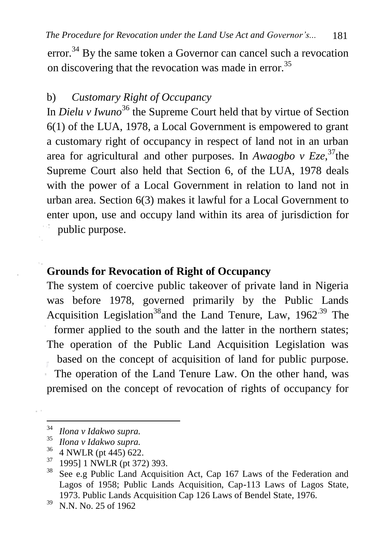error.<sup>34</sup> By the same token a Governor can cancel such a revocation on discovering that the revocation was made in error.<sup>35</sup>

# b) *Customary Right of Occupancy*

In *Dielu v Iwuno*<sup>36</sup> the Supreme Court held that by virtue of Section 6(1) of the LUA, 1978, a Local Government is empowered to grant a customary right of occupancy in respect of land not in an urban area for agricultural and other purposes. In *Awaogbo v Eze*,<sup>37</sup>the Supreme Court also held that Section 6, of the LUA, 1978 deals with the power of a Local Government in relation to land not in urban area. Section 6(3) makes it lawful for a Local Government to enter upon, use and occupy land within its area of jurisdiction for public purpose.

#### **Grounds for Revocation of Right of Occupancy**

The system of coercive public takeover of private land in Nigeria was before 1978, governed primarily by the Public Lands Acquisition Legislation<sup>38</sup> and the Land Tenure, Law,  $1962^{39}$  The former applied to the south and the latter in the northern states; The operation of the Public Land Acquisition Legislation was based on the concept of acquisition of land for public purpose. The operation of the Land Tenure Law. On the other hand, was premised on the concept of revocation of rights of occupancy for

<sup>34</sup> <sup>34</sup> *Ilona v Idakwo supra.*

<sup>35</sup> *Ilona v Idakwo supra.*

 $^{36}$  4 NWLR (pt 445) 622.

 $^{37}$  1995] 1 NWLR (pt 372) 393.

See e.g Public Land Acquisition Act, Cap 167 Laws of the Federation and Lagos of 1958; Public Lands Acquisition, Cap-113 Laws of Lagos State, 1973. Public Lands Acquisition Cap 126 Laws of Bendel State, 1976.

<sup>39</sup> N.N. No. 25 of 1962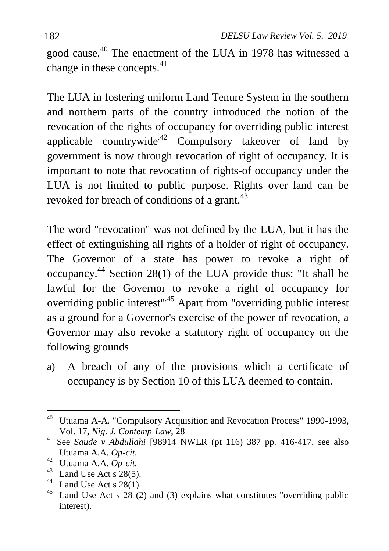good cause.<sup>40</sup> The enactment of the LUA in 1978 has witnessed a change in these concepts. $41$ 

The LUA in fostering uniform Land Tenure System in the southern and northern parts of the country introduced the notion of the revocation of the rights of occupancy for overriding public interest applicable countrywide<sup> $42$ </sup> Compulsory takeover of land by government is now through revocation of right of occupancy. It is important to note that revocation of rights-of occupancy under the LUA is not limited to public purpose. Rights over land can be revoked for breach of conditions of a grant.<sup>43</sup>

The word "revocation" was not defined by the LUA, but it has the effect of extinguishing all rights of a holder of right of occupancy. The Governor of a state has power to revoke a right of occupancy.<sup>44</sup> Section 28(1) of the LUA provide thus: "It shall be lawful for the Governor to revoke a right of occupancy for overriding public interest".45 Apart from "overriding public interest as a ground for a Governor's exercise of the power of revocation, a Governor may also revoke a statutory right of occupancy on the following grounds

a) A breach of any of the provisions which a certificate of occupancy is by Section 10 of this LUA deemed to contain.

1

<sup>44</sup> Land Use Act s 28(1).

<sup>&</sup>lt;sup>40</sup> Utuama A-A. "Compulsory Acquisition and Revocation Process" 1990-1993, Vol. 17, *Nig. J. Contemp-Law*, 28

<sup>41</sup> See *Saude v Abdullahi* [98914 NWLR (pt 116) 387 pp. 416-417, see also Utuama A.A. *Op-cit.*

<sup>42</sup> Utuama A.A. *Op-cit.*

<sup>&</sup>lt;sup>43</sup> Land Use Act s  $28(5)$ .

Land Use Act s  $28$  (2) and (3) explains what constitutes "overriding public interest).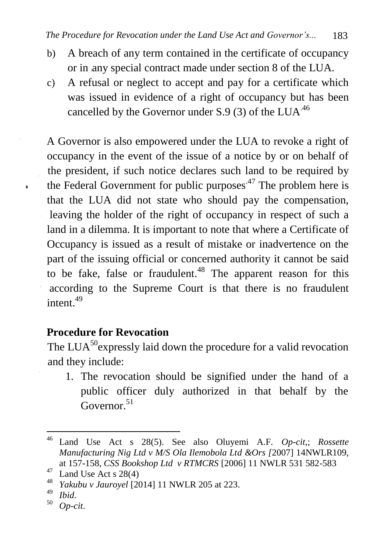- b) A breach of any term contained in the certificate of occupancy or in any special contract made under section 8 of the LUA.
- c) A refusal or neglect to accept and pay for a certificate which was issued in evidence of a right of occupancy but has been cancelled by the Governor under  $S.9$  (3) of the LUA<sup>.46</sup>

A Governor is also empowered under the LUA to revoke a right of occupancy in the event of the issue of a notice by or on behalf of the president, if such notice declares such land to be required by the Federal Government for public purposes<sup> $47$ </sup> The problem here is that the LUA did not state who should pay the compensation, leaving the holder of the right of occupancy in respect of such a land in a dilemma. It is important to note that where a Certificate of Occupancy is issued as a result of mistake or inadvertence on the part of the issuing official or concerned authority it cannot be said to be fake, false or fraudulent.<sup>48</sup> The apparent reason for this according to the Supreme Court is that there is no fraudulent intent.<sup>49</sup>

# **Procedure for Revocation**

The LUA<sup>50</sup> expressly laid down the procedure for a valid revocation and they include:

1. The revocation should be signified under the hand of a public officer duly authorized in that behalf by the Governor.<sup>51</sup>

 $\lambda$ 

<sup>46</sup> <sup>46</sup> Land Use Act s 28(5). See also Oluyemi A.F. *Op-cit*,; *Rossette Manufacturing Nig Ltd v M/S Ola Ilemobola Ltd &Ors [*2007] 14NWLR109, at 157-158, *CSS Bookshop Ltd v RTMCRS* [2006] 11 NWLR 531 582-583

 $^{47}$  Land Use Act s 28(4)

<sup>48</sup> *Yakubu v Jauroyel* [2014] 11 NWLR 205 at 223.

 $^{49}$  *Ibid.* 

<sup>50</sup> *Op-cit*.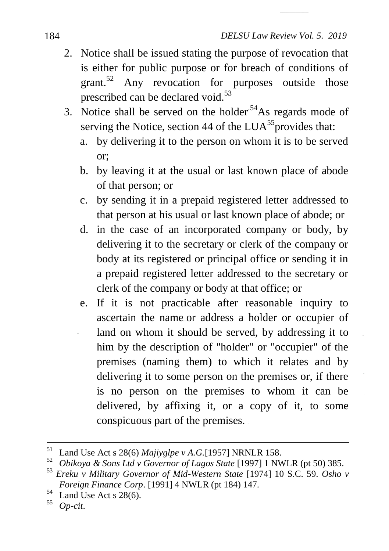- 2. Notice shall be issued stating the purpose of revocation that is either for public purpose or for breach of conditions of grant.<sup>52</sup> Any revocation for purposes outside those prescribed can be declared void.<sup>53</sup>
- 3. Notice shall be served on the holder<sup>54</sup>As regards mode of serving the Notice, section 44 of the  $LUA^{55}$  provides that:
	- a. by delivering it to the person on whom it is to be served or;
	- b. by leaving it at the usual or last known place of abode of that person; or
	- c. by sending it in a prepaid registered letter addressed to that person at his usual or last known place of abode; or
	- d. in the case of an incorporated company or body, by delivering it to the secretary or clerk of the company or body at its registered or principal office or sending it in a prepaid registered letter addressed to the secretary or clerk of the company or body at that office; or
	- e. If it is not practicable after reasonable inquiry to ascertain the name or address a holder or occupier of land on whom it should be served, by addressing it to him by the description of "holder" or "occupier" of the premises (naming them) to which it relates and by delivering it to some person on the premises or, if there is no person on the premises to whom it can be delivered, by affixing it, or a copy of it, to some conspicuous part of the premises.

 $^{54}$  Land Use Act s 28(6).

<sup>55</sup> *Op-cit*.

<sup>51</sup> <sup>51</sup> Land Use Act s 28(6) *Majiyglpe v A.G.*[1957] NRNLR 158.

<sup>52</sup> *Obikoya & Sons Ltd v Governor of Lagos State* [1997] 1 NWLR (pt 50) 385.

<sup>53</sup> *Ereku v Military Governor of Mid-Western State* [1974] 10 S.C. 59. *Osho v Foreign Finance Corp*. [1991] 4 NWLR (pt 184) 147.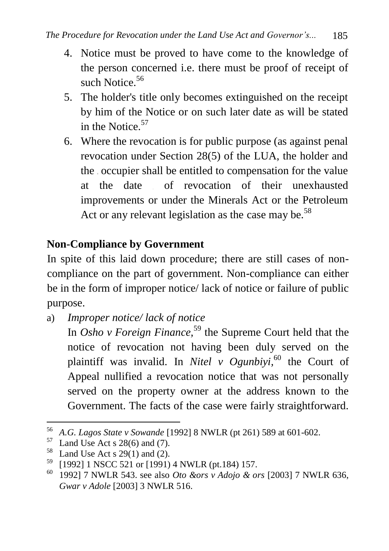- 4. Notice must be proved to have come to the knowledge of the person concerned i.e. there must be proof of receipt of such Notice.<sup>56</sup>
- 5. The holder's title only becomes extinguished on the receipt by him of the Notice or on such later date as will be stated in the Notice.<sup>57</sup>
- 6. Where the revocation is for public purpose (as against penal revocation under Section 28(5) of the LUA, the holder and the occupier shall be entitled to compensation for the value at the date of revocation of their unexhausted improvements or under the Minerals Act or the Petroleum Act or any relevant legislation as the case may be.<sup>58</sup>

### **Non-Compliance by Government**

In spite of this laid down procedure; there are still cases of noncompliance on the part of government. Non-compliance can either be in the form of improper notice/ lack of notice or failure of public purpose.

- a) *Improper notice/ lack of notice*
	- In *Osho v Foreign Finance*,<sup>59</sup> the Supreme Court held that the notice of revocation not having been duly served on the plaintiff was invalid. In *Nitel v Ogunbiyi,* <sup>60</sup> the Court of Appeal nullified a revocation notice that was not personally served on the property owner at the address known to the Government. The facts of the case were fairly straightforward.

<sup>56</sup> <sup>56</sup> *A.G. Lagos State v Sowande* [1992] 8 NWLR (pt 261) 589 at 601-602.

 $^{57}$  Land Use Act s 28(6) and (7).

<sup>&</sup>lt;sup>58</sup> Land Use Act s 29(1) and (2).<br><sup>59</sup> L10021.1 NSCC 521 or  $[1001]$ 

 $^{59}$  [1992] 1 NSCC 521 or [1991) 4 NWLR (pt.184) 157.

<sup>60</sup> 1992] 7 NWLR 543. see also *Oto &ors v Adojo & ors* [2003] 7 NWLR 636, *Gwar v Adole* [2003] 3 NWLR 516.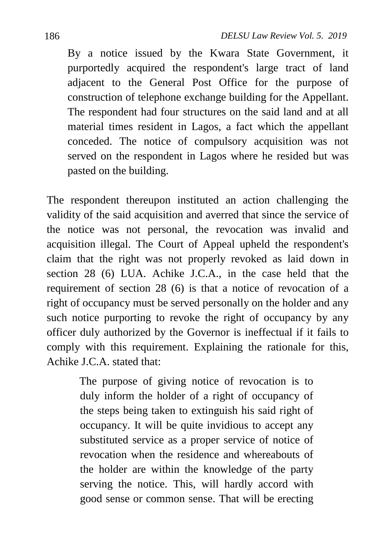By a notice issued by the Kwara State Government, it purportedly acquired the respondent's large tract of land adjacent to the General Post Office for the purpose of construction of telephone exchange building for the Appellant. The respondent had four structures on the said land and at all material times resident in Lagos, a fact which the appellant conceded. The notice of compulsory acquisition was not served on the respondent in Lagos where he resided but was pasted on the building.

The respondent thereupon instituted an action challenging the validity of the said acquisition and averred that since the service of the notice was not personal, the revocation was invalid and acquisition illegal. The Court of Appeal upheld the respondent's claim that the right was not properly revoked as laid down in section 28 (6) LUA. Achike J.C.A., in the case held that the requirement of section 28 (6) is that a notice of revocation of a right of occupancy must be served personally on the holder and any such notice purporting to revoke the right of occupancy by any officer duly authorized by the Governor is ineffectual if it fails to comply with this requirement. Explaining the rationale for this, Achike J.C.A. stated that:

> The purpose of giving notice of revocation is to duly inform the holder of a right of occupancy of the steps being taken to extinguish his said right of occupancy. It will be quite invidious to accept any substituted service as a proper service of notice of revocation when the residence and whereabouts of the holder are within the knowledge of the party serving the notice. This, will hardly accord with good sense or common sense. That will be erecting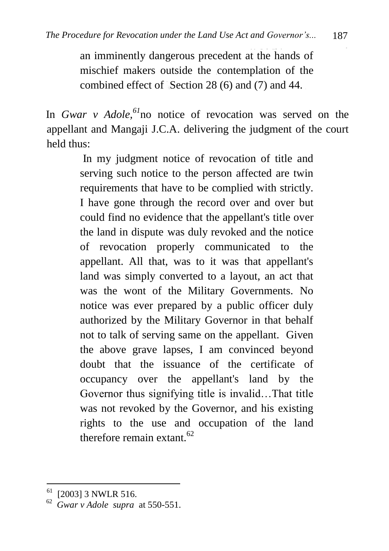an imminently dangerous precedent at the hands of mischief makers outside the contemplation of the combined effect of Section 28 (6) and (7) and 44.

In *Gwar v Adole,<sup>61</sup>*no notice of revocation was served on the appellant and Mangaji J.C.A. delivering the judgment of the court held thus:

> In my judgment notice of revocation of title and serving such notice to the person affected are twin requirements that have to be complied with strictly. I have gone through the record over and over but could find no evidence that the appellant's title over the land in dispute was duly revoked and the notice of revocation properly communicated to the appellant. All that, was to it was that appellant's land was simply converted to a layout, an act that was the wont of the Military Governments. No notice was ever prepared by a public officer duly authorized by the Military Governor in that behalf not to talk of serving same on the appellant. Given the above grave lapses, I am convinced beyond doubt that the issuance of the certificate of occupancy over the appellant's land by the Governor thus signifying title is invalid…That title was not revoked by the Governor, and his existing rights to the use and occupation of the land therefore remain extant.  $62$

 $\overline{a}$ 

 $61$  [2003] 3 NWLR 516.

<sup>62</sup>  *Gwar v Adole supra* at 550-551.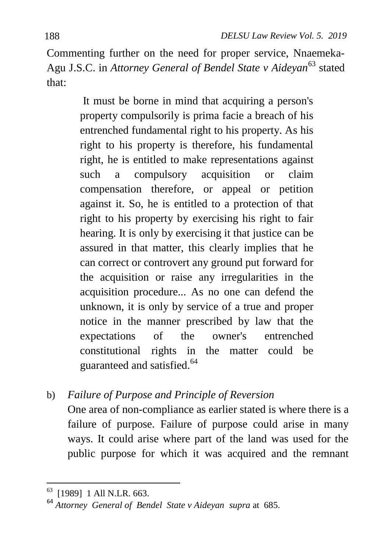Commenting further on the need for proper service, Nnaemeka-Agu J.S.C. in *Attorney General of Bendel State v Aideyan*<sup>63</sup> stated that:

> It must be borne in mind that acquiring a person's property compulsorily is prima facie a breach of his entrenched fundamental right to his property. As his right to his property is therefore, his fundamental right, he is entitled to make representations against such a compulsory acquisition or claim compensation therefore, or appeal or petition against it. So, he is entitled to a protection of that right to his property by exercising his right to fair hearing. It is only by exercising it that justice can be assured in that matter, this clearly implies that he can correct or controvert any ground put forward for the acquisition or raise any irregularities in the acquisition procedure... As no one can defend the unknown, it is only by service of a true and proper notice in the manner prescribed by law that the expectations of the owner's entrenched constitutional rights in the matter could be guaranteed and satisfied.<sup>64</sup>

b) *Failure of Purpose and Principle of Reversion* One area of non-compliance as earlier stated is where there is a failure of purpose. Failure of purpose could arise in many ways. It could arise where part of the land was used for the public purpose for which it was acquired and the remnant

 63 [1989] 1 All N.LR. 663.

<sup>64</sup> *Attorney General of Bendel State v Aideyan supra* at 685.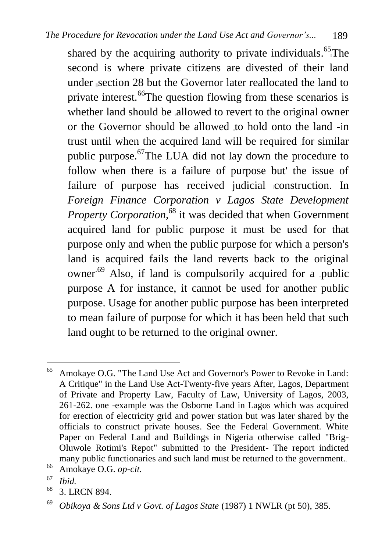shared by the acquiring authority to private individuals.<sup>65</sup>The second is where private citizens are divested of their land under section 28 but the Governor later reallocated the land to private interest.<sup>66</sup>The question flowing from these scenarios is whether land should be allowed to revert to the original owner or the Governor should be allowed to hold onto the land -in trust until when the acquired land will be required for similar public purpose.<sup>67</sup>The LUA did not lay down the procedure to follow when there is a failure of purpose but' the issue of failure of purpose has received judicial construction. In *Foreign Finance Corporation v Lagos State Development Property Corporation*, <sup>68</sup> it was decided that when Government acquired land for public purpose it must be used for that purpose only and when the public purpose for which a person's land is acquired fails the land reverts back to the original owner<sup>.69</sup> Also, if land is compulsorily acquired for a public purpose A for instance, it cannot be used for another public purpose. Usage for another public purpose has been interpreted to mean failure of purpose for which it has been held that such land ought to be returned to the original owner.

<sup>66</sup> Amokaye O.G. *op-cit.*

<sup>65</sup> Amokaye O.G. "The Land Use Act and Governor's Power to Revoke in Land: A Critique" in the Land Use Act-Twenty-five years After, Lagos, Department of Private and Property Law, Faculty of Law, University of Lagos, 2003, 261-262. one -example was the Osborne Land in Lagos which was acquired for erection of electricity grid and power station but was later shared by the officials to construct private houses. See the Federal Government. White Paper on Federal Land and Buildings in Nigeria otherwise called "Brig-Oluwole Rotimi's Repot" submitted to the President- The report indicted many public functionaries and such land must be returned to the government.

<sup>67</sup> *Ibid.*

<sup>68</sup> 3. LRCN 894.

<sup>69</sup> *Obikoya & Sons Ltd v Govt. of Lagos State* (1987) 1 NWLR (pt 50), 385.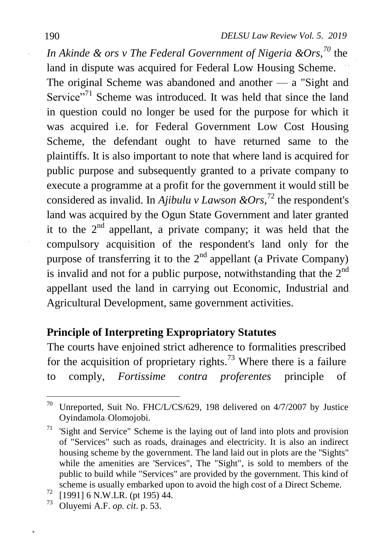*In Akinde & ors v The Federal Government of Nigeria &Ors,<sup>70</sup>* the land in dispute was acquired for Federal Low Housing Scheme. The original Scheme was abandoned and another — a "Sight and Service<sup>"71</sup> Scheme was introduced. It was held that since the land in question could no longer be used for the purpose for which it was acquired i.e. for Federal Government Low Cost Housing Scheme, the defendant ought to have returned same to the plaintiffs. It is also important to note that where land is acquired for public purpose and subsequently granted to a private company to execute a programme at a profit for the government it would still be considered as invalid. In *Ajibulu v Lawson &Ors,* <sup>72</sup> the respondent's land was acquired by the Ogun State Government and later granted it to the  $2<sup>nd</sup>$  appellant, a private company; it was held that the compulsory acquisition of the respondent's land only for the purpose of transferring it to the  $2<sup>nd</sup>$  appellant (a Private Company) is invalid and not for a public purpose, notwithstanding that the  $2<sup>nd</sup>$ appellant used the land in carrying out Economic, Industrial and Agricultural Development, same government activities.

# **Principle of Interpreting Expropriatory Statutes**

The courts have enjoined strict adherence to formalities prescribed for the acquisition of proprietary rights.<sup>73</sup> Where there is a failure to comply, *Fortissime contra proferentes* principle of

í.

 $\overline{a}$ <sup>70</sup> Unreported, Suit No. FHC/L/CS/629, 198 delivered on  $4/7/2007$  by Justice Oyindamola Olomojobi.

 $71$  'Sight and Service" Scheme is the laying out of land into plots and provision of "Services" such as roads, drainages and electricity. It is also an indirect housing scheme by the government. The land laid out in plots are the ''Sights" while the amenities are 'Services", The "Sight", is sold to members of the public to build while "Services" are provided by the government. This kind of scheme is usually embarked upon to avoid the high cost of a Direct Scheme.

 $\frac{72}{73}$  [1991] 6 N.W.LR. (pt 195) 44.

<sup>73</sup> Oluyemi A.F. *op. cit*. p. 53.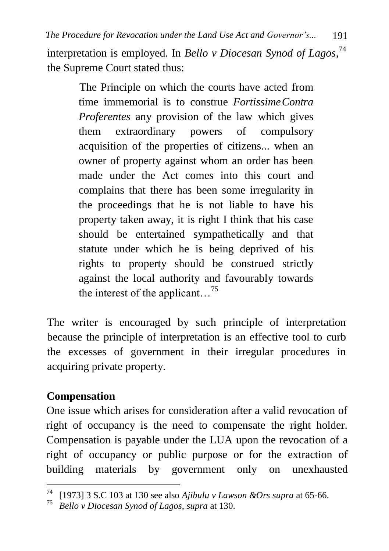interpretation is employed. In *Bello v Diocesan Synod of Lagos*, 74 the Supreme Court stated thus:

> The Principle on which the courts have acted from time immemorial is to construe *FortissimeContra Proferentes* any provision of the law which gives them extraordinary powers of compulsory acquisition of the properties of citizens... when an owner of property against whom an order has been made under the Act comes into this court and complains that there has been some irregularity in the proceedings that he is not liable to have his property taken away, it is right I think that his case should be entertained sympathetically and that statute under which he is being deprived of his rights to property should be construed strictly against the local authority and favourably towards the interest of the applicant. <sup>75</sup>

The writer is encouraged by such principle of interpretation because the principle of interpretation is an effective tool to curb the excesses of government in their irregular procedures in acquiring private property.

# **Compensation**

One issue which arises for consideration after a valid revocation of right of occupancy is the need to compensate the right holder. Compensation is payable under the LUA upon the revocation of a right of occupancy or public purpose or for the extraction of building materials by government only on unexhausted

<sup>74</sup> <sup>74</sup> [1973] 3 S.C 103 at 130 see also *Ajibulu v Lawson &Ors supra* at 65-66.

<sup>75</sup> *Bello v Diocesan Synod of Lagos*, *supra* at 130.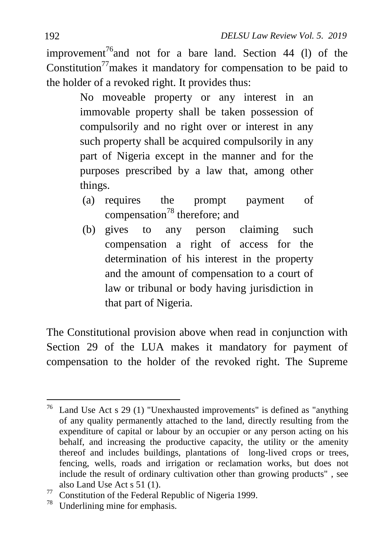improvement<sup>76</sup> and not for a bare land. Section 44 (1) of the Constitution<sup>77</sup> makes it mandatory for compensation to be paid to the holder of a revoked right. It provides thus:

> No moveable property or any interest in an immovable property shall be taken possession of compulsorily and no right over or interest in any such property shall be acquired compulsorily in any part of Nigeria except in the manner and for the purposes prescribed by a law that, among other things.

- (a) requires the prompt payment of compensation<sup>78</sup> therefore; and
- (b) gives to any person claiming such compensation a right of access for the determination of his interest in the property and the amount of compensation to a court of law or tribunal or body having jurisdiction in that part of Nigeria.

The Constitutional provision above when read in conjunction with Section 29 of the LUA makes it mandatory for payment of compensation to the holder of the revoked right. The Supreme

 $\overline{a}$  $76$  Land Use Act s 29 (1) "Unexhausted improvements" is defined as "anything of any quality permanently attached to the land, directly resulting from the expenditure of capital or labour by an occupier or any person acting on his behalf, and increasing the productive capacity, the utility or the amenity thereof and includes buildings, plantations of long-lived crops or trees, fencing, wells, roads and irrigation or reclamation works, but does not include the result of ordinary cultivation other than growing products" , see also Land Use Act s 51 (1).

 $^{77}$  Constitution of the Federal Republic of Nigeria 1999.<br><sup>78</sup> Underlining mine for emphasis

Underlining mine for emphasis.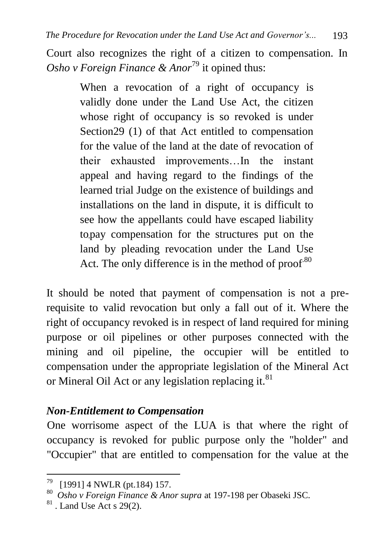Court also recognizes the right of a citizen to compensation. In *Osho v Foreign Finance & Anor*<sup>79</sup> it opined thus:

> When a revocation of a right of occupancy is validly done under the Land Use Act, the citizen whose right of occupancy is so revoked is under Section29 (1) of that Act entitled to compensation for the value of the land at the date of revocation of their exhausted improvements…In the instant appeal and having regard to the findings of the learned trial Judge on the existence of buildings and installations on the land in dispute, it is difficult to see how the appellants could have escaped liability topay compensation for the structures put on the land by pleading revocation under the Land Use Act. The only difference is in the method of proof. $80$

It should be noted that payment of compensation is not a prerequisite to valid revocation but only a fall out of it. Where the right of occupancy revoked is in respect of land required for mining purpose or oil pipelines or other purposes connected with the mining and oil pipeline, the occupier will be entitled to compensation under the appropriate legislation of the Mineral Act or Mineral Oil Act or any legislation replacing it.<sup>81</sup>

#### *Non-Entitlement to Compensation*

One worrisome aspect of the LUA is that where the right of occupancy is revoked for public purpose only the "holder" and "Occupier" that are entitled to compensation for the value at the

 79 [1991] 4 NWLR (pt.184) 157.

<sup>80</sup>  *Osho v Foreign Finance & Anor supra* at 197-198 per Obaseki JSC.

 $81$ . Land Use Act s 29(2).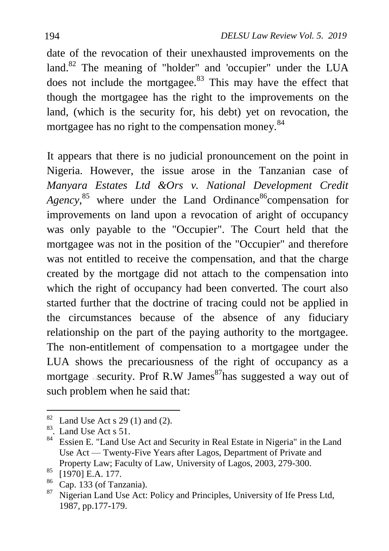date of the revocation of their unexhausted improvements on the land.<sup>82</sup> The meaning of "holder" and 'occupier" under the LUA does not include the mortgagee.<sup>83</sup> This may have the effect that though the mortgagee has the right to the improvements on the land, (which is the security for, his debt) yet on revocation, the mortgagee has no right to the compensation monev.<sup>84</sup>

It appears that there is no judicial pronouncement on the point in Nigeria. However, the issue arose in the Tanzanian case of *Manyara Estates Ltd &Ors v. National Development Credit*  Agency,<sup>85</sup> where under the Land Ordinance<sup>86</sup>compensation for improvements on land upon a revocation of aright of occupancy was only payable to the "Occupier". The Court held that the mortgagee was not in the position of the "Occupier" and therefore was not entitled to receive the compensation, and that the charge created by the mortgage did not attach to the compensation into which the right of occupancy had been converted. The court also started further that the doctrine of tracing could not be applied in the circumstances because of the absence of any fiduciary relationship on the part of the paying authority to the mortgagee. The non-entitlement of compensation to a mortgagee under the LUA shows the precariousness of the right of occupancy as a mortgage security. Prof R.W James<sup>87</sup>has suggested a way out of such problem when he said that:

1

 $82$  Land Use Act s 29 (1) and (2).

<sup>83</sup> . Land Use Act s 51.

<sup>84</sup> Essien E. "Land Use Act and Security in Real Estate in Nigeria" in the Land Use Act — Twenty-Five Years after Lagos, Department of Private and Property Law; Faculty of Law, University of Lagos, 2003, 279-300.

<sup>85</sup> [1970] E.A. 177.

 $rac{86}{87}$  Cap. 133 (of Tanzania).

Nigerian Land Use Act: Policy and Principles, University of Ife Press Ltd, 1987, pp.177-179.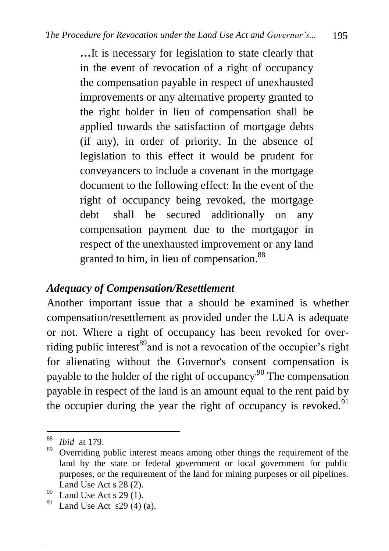**…**It is necessary for legislation to state clearly that in the event of revocation of a right of occupancy the compensation payable in respect of unexhausted improvements or any alternative property granted to the right holder in lieu of compensation shall be applied towards the satisfaction of mortgage debts (if any), in order of priority. In the absence of legislation to this effect it would be prudent for conveyancers to include a covenant in the mortgage document to the following effect: In the event of the right of occupancy being revoked, the mortgage debt shall be secured additionally on any compensation payment due to the mortgagor in respect of the unexhausted improvement or any land granted to him, in lieu of compensation.<sup>88</sup>

### *Adequacy of Compensation/Resettlement*

Another important issue that a should be examined is whether compensation/resettlement as provided under the LUA is adequate or not. Where a right of occupancy has been revoked for overriding public interest $^{89}$  and is not a revocation of the occupier's right for alienating without the Governor's consent compensation is payable to the holder of the right of occupancy.<sup>90</sup> The compensation payable in respect of the land is an amount equal to the rent paid by the occupier during the year the right of occupancy is revoked. $91$ 

 $\overline{a}$ 

<sup>88</sup> *Ibid* at 179.

<sup>&</sup>lt;sup>89</sup> Overriding public interest means among other things the requirement of the land by the state or federal government or local government for public purposes, or the requirement of the land for mining purposes or oil pipelines. Land Use Act s 28 (2).

<sup>&</sup>lt;sup>90</sup> Land Use Act s 29 (1).

Land Use Act  $s29$  (4) (a).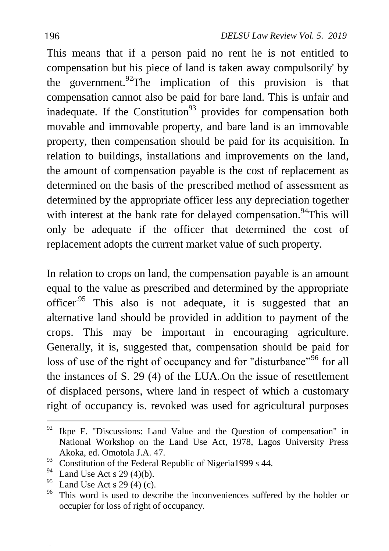This means that if a person paid no rent he is not entitled to compensation but his piece of land is taken away compulsorily' by the government.<sup>92</sup>The implication of this provision is that compensation cannot also be paid for bare land. This is unfair and inadequate. If the Constitution<sup>93</sup> provides for compensation both movable and immovable property, and bare land is an immovable property, then compensation should be paid for its acquisition. In relation to buildings, installations and improvements on the land, the amount of compensation payable is the cost of replacement as determined on the basis of the prescribed method of assessment as determined by the appropriate officer less any depreciation together with interest at the bank rate for delayed compensation.<sup>94</sup>This will only be adequate if the officer that determined the cost of replacement adopts the current market value of such property.

In relation to crops on land, the compensation payable is an amount equal to the value as prescribed and determined by the appropriate officer.<sup>95</sup> This also is not adequate, it is suggested that an alternative land should be provided in addition to payment of the crops. This may be important in encouraging agriculture. Generally, it is, suggested that, compensation should be paid for loss of use of the right of occupancy and for "disturbance"<sup>96</sup> for all the instances of S. 29 (4) of the LUA. On the issue of resettlement of displaced persons, where land in respect of which a customary right of occupancy is. revoked was used for agricultural purposes

 $\ddot{\phantom{a}}$ 

 $92$  Ikpe F. "Discussions: Land Value and the Question of compensation" in National Workshop on the Land Use Act, 1978, Lagos University Press Akoka, ed. Omotola J.A. 47.

<sup>93</sup> Constitution of the Federal Republic of Nigeria1999 s 44.

<sup>&</sup>lt;sup>94</sup> Land Use Act s 29 (4)(b).<br><sup>95</sup> Land Use Act s 20 (4) (c).

 $^{95}$  Land Use Act s 29 (4) (c).

This word is used to describe the inconveniences suffered by the holder or occupier for loss of right of occupancy.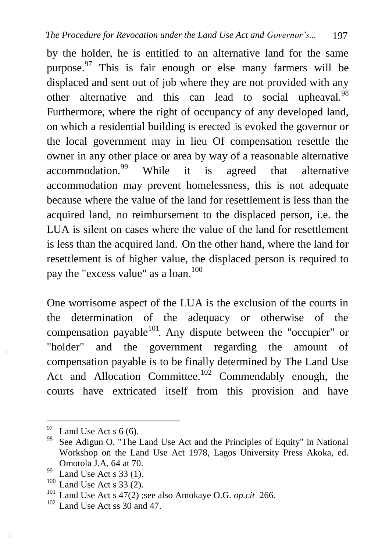by the holder, he is entitled to an alternative land for the same purpose.<sup>97</sup> This is fair enough or else many farmers will be displaced and sent out of job where they are not provided with any other alternative and this can lead to social upheaval.<sup>98</sup> Furthermore, where the right of occupancy of any developed land, on which a residential building is erected is evoked the governor or the local government may in lieu Of compensation resettle the owner in any other place or area by way of a reasonable alternative accommodation.<sup>99</sup> While it is agreed that alternative accommodation may prevent homelessness, this is not adequate because where the value of the land for resettlement is less than the acquired land, no reimbursement to the displaced person, i.e. the LUA is silent on cases where the value of the land for resettlement is less than the acquired land. On the other hand, where the land for resettlement is of higher value, the displaced person is required to pay the "excess value" as a loan.<sup>100</sup>

One worrisome aspect of the LUA is the exclusion of the courts in the determination of the adequacy or otherwise of the compensation payable $101$ . Any dispute between the "occupier" or "holder" and the government regarding the amount of compensation payable is to be finally determined by The Land Use Act and Allocation Committee.<sup>102</sup> Commendably enough, the courts have extricated itself from this provision and have

 $\ddot{\phantom{a}}$ 

 $97$  Land Use Act s 6 (6).

<sup>&</sup>lt;sup>98</sup> See Adigun O. "The Land Use Act and the Principles of Equity" in National Workshop on the Land Use Act 1978, Lagos University Press Akoka, ed. Omotola J.A, 64 at 70.

 $^{99}$  Land Use Act s 33 (1).

Land Use Act  $s$  33 (2).

<sup>101</sup> Land Use Act s 47(2) ;see also Amokaye O.G. *op.cit* 266.

<sup>102</sup> Land Use Act ss 30 and 47.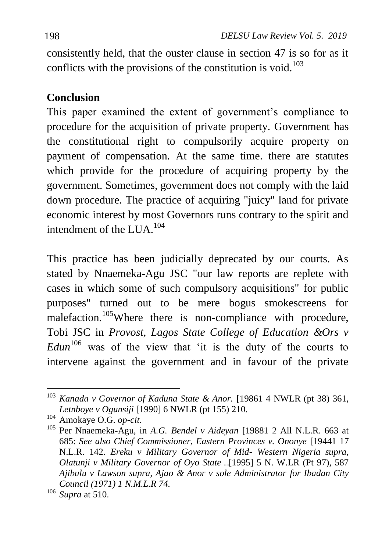consistently held, that the ouster clause in section 47 is so for as it conflicts with the provisions of the constitution is void.<sup>103</sup>

# **Conclusion**

This paper examined the extent of government's compliance to procedure for the acquisition of private property. Government has the constitutional right to compulsorily acquire property on payment of compensation. At the same time. there are statutes which provide for the procedure of acquiring property by the government. Sometimes, government does not comply with the laid down procedure. The practice of acquiring "juicy" land for private economic interest by most Governors runs contrary to the spirit and intendment of the  $LUA$ <sup>104</sup>

This practice has been judicially deprecated by our courts. As stated by Nnaemeka-Agu JSC "our law reports are replete with cases in which some of such compulsory acquisitions" for public purposes" turned out to be mere bogus smokescreens for malefaction.<sup>105</sup>Where there is non-compliance with procedure, Tobi JSC in *Provost, Lagos State College of Education &Ors v*   $Edun<sup>106</sup>$  was of the view that 'it is the duty of the courts to intervene against the government and in favour of the private

 $\ddot{\phantom{a}}$ <sup>103</sup> *Kanada v Governor of Kaduna State & Anor.* [19861 4 NWLR (pt 38) 361, *Letnboye v Ogunsiji* [1990] 6 NWLR (pt 155) 210.

<sup>104</sup> Amokaye O.G. *op-cit.*

<sup>105</sup> Per Nnaemeka-Agu, in *A.G. Bendel v Aideyan* [19881 2 All N.L.R. 663 at 685: *See also Chief Commissioner, Eastern Provinces v. Ononye* [19441 17 N.L.R. 142. *Ereku v Military Governor of Mid- Western Nigeria supra*, *Olatunji v Military Governor of Oyo State* [1995] 5 N. W.LR (Pt 97), 587 *Ajibulu v Lawson supra, Ajao & Anor v sole Administrator for Ibadan City Council (1971) 1 N.M.L.R 74.*

<sup>106</sup> *Supra* at 510.